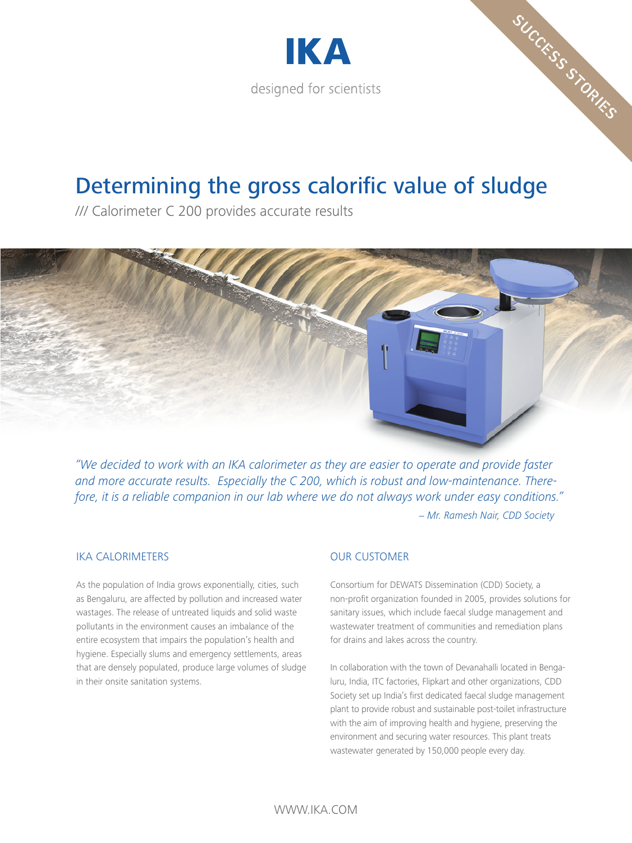

# Determining the gross calorific value of sludge

/// Calorimeter C 200 provides accurate results

*"We decided to work with an IKA calorimeter as they are easier to operate and provide faster and more accurate results. Especially the C 200, which is robust and low-maintenance. Therefore, it is a reliable companion in our lab where we do not always work under easy conditions." - Mr. Ramesh Nair, CDD Society*

### IKA CALORIMETERS

As the population of India grows exponentially, cities, such as Bengaluru, are affected by pollution and increased water wastages. The release of untreated liquids and solid waste pollutants in the environment causes an imbalance of the entire ecosystem that impairs the population's health and hygiene. Especially slums and emergency settlements, areas that are densely populated, produce large volumes of sludge in their onsite sanitation systems.

## OUR CUSTOMER

Consortium for DEWATS Dissemination (CDD) Society, a non-profit organization founded in 2005, provides solutions for sanitary issues, which include faecal sludge management and wastewater treatment of communities and remediation plans for drains and lakes across the country.

SUCCESS STORIES

In collaboration with the town of Devanahalli located in Bengaluru, India, ITC factories, Flipkart and other organizations, CDD Society set up India's first dedicated faecal sludge management plant to provide robust and sustainable post-toilet infrastructure with the aim of improving health and hygiene, preserving the environment and securing water resources. This plant treats wastewater generated by 150,000 people every day.